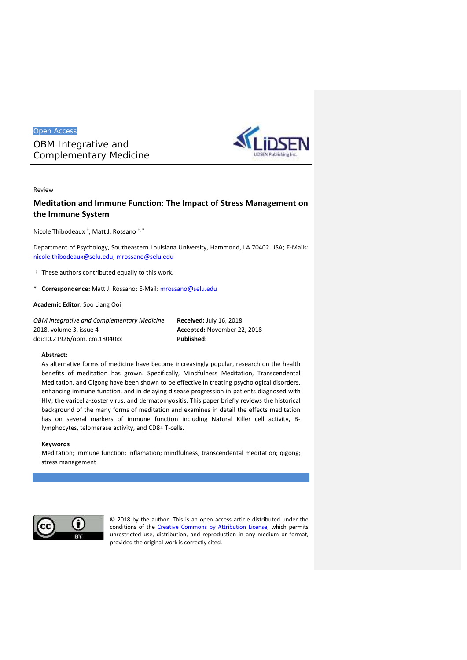Open Access

*OBM Integrative and Complementary Medicine*



# Review

# **Meditation and Immune Function: The Impact of Stress Management on the Immune System**

Nicole Thibodeaux † , Matt J. Rossano †, \*

Department of Psychology, Southeastern Louisiana University, Hammond, LA 70402 USA; E-Mails: nicole.thibodeaux@selu.edu; mrossano@selu.edu

- † These authors contributed equally to this work.
- \* **Correspondence:** Matt J. Rossano; E-Mail: mrossano@selu.edu

**Academic Editor:** Soo Liang Ooi

OBM Integrative and Complementary Medicine **Received:** July 16, 2018<br>2018, volume 3, issue 4 **Accepted:** November 22, 2018<br>doi:10.21926/obm.icm.18040xx **Published: Published:** 2018, volume 3, issue 4

**Accepted:** November 22, 2018 **Published:**

# **Abstract:**

As alternative forms of medicine have become increasingly popular, research on the health benefits of meditation has grown. Specifically, Mindfulness Meditation, Transcendental Meditation, and Qigong have been shown to be effective in treating psychological disorders, enhancing immune function, and in delaying disease progression in patients diagnosed with HIV, the varicella-zoster virus, and dermatomyositis. This paper briefly reviews the historical background of the many forms of meditation and examines in detail the effects meditation has on several markers of immune function including Natural Killer cell activity, Blymphocytes, telomerase activity, and CD8+ T-cells.

# **Keywords**

Meditation; immune function; inflamation; mindfulness; transcendental meditation; qigong; stress management



© 2018 by the author. This is an open access article distributed under the conditions of the Creative Commons by Attribution License, which permits unrestricted use, distribution, and reproduction in any medium or format, provided the original work is correctly cited.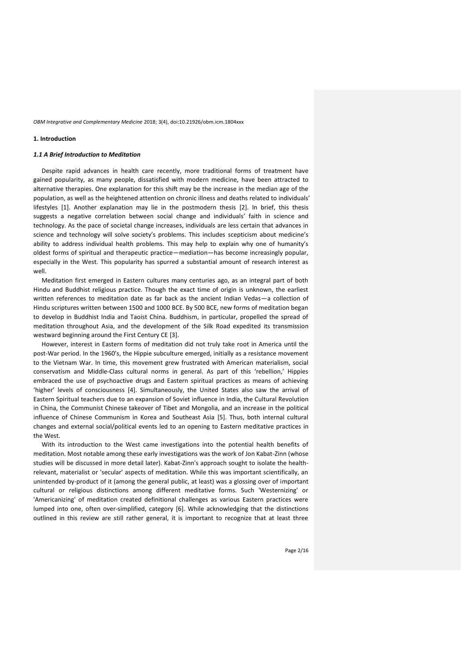### **1. Introduction**

#### *1.1 A Brief Introduction to Meditation*

Despite rapid advances in health care recently, more traditional forms of treatment have gained popularity, as many people, dissatisfied with modern medicine, have been attracted to alternative therapies. One explanation for this shift may be the increase in the median age of the population, as well as the heightened attention on chronic illness and deaths related to individuals' lifestyles [1]. Another explanation may lie in the postmodern thesis [2]. In brief, this thesis suggests a negative correlation between social change and individuals' faith in science and technology. As the pace of societal change increases, individuals are less certain that advances in science and technology will solve society's problems. This includes scepticism about medicine's ability to address individual health problems. This may help to explain why one of humanity's oldest forms of spiritual and therapeutic practice—mediation—has become increasingly popular, especially in the West. This popularity has spurred a substantial amount of research interest as well.

Meditation first emerged in Eastern cultures many centuries ago, as an integral part of both Hindu and Buddhist religious practice. Though the exact time of origin is unknown, the earliest written references to meditation date as far back as the ancient Indian Vedas—a collection of Hindu scriptures written between 1500 and 1000 BCE. By 500 BCE, new forms of meditation began to develop in Buddhist India and Taoist China. Buddhism, in particular, propelled the spread of meditation throughout Asia, and the development of the Silk Road expedited its transmission westward beginning around the First Century CE [3].

However, interest in Eastern forms of meditation did not truly take root in America until the post-War period. In the 1960's, the Hippie subculture emerged, initially as a resistance movement to the Vietnam War. In time, this movement grew frustrated with American materialism, social conservatism and Middle-Class cultural norms in general. As part of this 'rebellion,' Hippies embraced the use of psychoactive drugs and Eastern spiritual practices as means of achieving 'higher' levels of consciousness [4]. Simultaneously, the United States also saw the arrival of Eastern Spiritual teachers due to an expansion of Soviet influence in India, the Cultural Revolution in China, the Communist Chinese takeover of Tibet and Mongolia, and an increase in the political influence of Chinese Communism in Korea and Southeast Asia [5]. Thus, both internal cultural changes and external social/political events led to an opening to Eastern meditative practices in the West.

With its introduction to the West came investigations into the potential health benefits of meditation. Most notable among these early investigations was the work of Jon Kabat-Zinn (whose studies will be discussed in more detail later). Kabat-Zinn's approach sought to isolate the health relevant, materialist or 'secular' aspects of meditation. While this was important scientifically, an unintended by-product of it (among the general public, at least) was a glossing over of important cultural or religious distinctions among different meditative forms. Such 'Westernizing' or 'Americanizing' of meditation created definitional challenges as various Eastern practices were lumped into one, often over-simplified, category [6]. While acknowledging that the distinctions outlined in this review are still rather general, it is important to recognize that at least three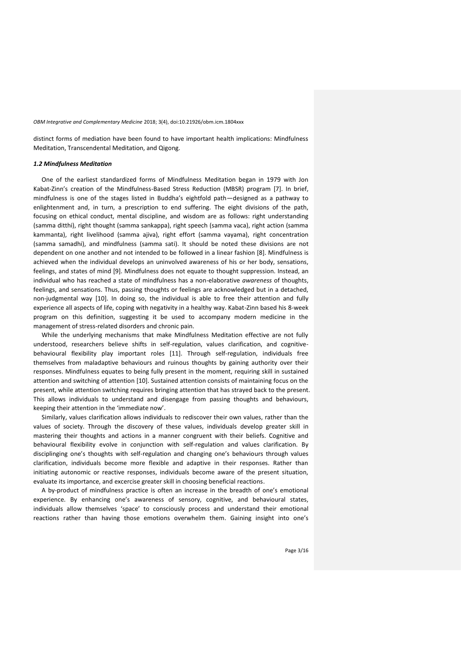distinct forms of mediation have been found to have important health implications: Mindfulness Meditation, Transcendental Meditation, and Qigong.

#### *1.2 Mindfulness Meditation*

One of the earliest standardized forms of Mindfulness Meditation began in 1979 with Jon Kabat-Zinn's creation of the Mindfulness-Based Stress Reduction (MBSR) program [7]. In brief, mindfulness is one of the stages listed in Buddha's eightfold path—designed as a pathway to enlightenment and, in turn, a prescription to end suffering. The eight divisions of the path, focusing on ethical conduct, mental discipline, and wisdom are as follows: right understanding (samma ditthi), right thought (samma sankappa), right speech (samma vaca), right action (samma kammanta), right livelihood (samma ajiva), right effort (samma vayama), right concentration (samma samadhi), and mindfulness (samma sati). It should be noted these divisions are not dependent on one another and not intended to be followed in a linear fashion [8]. Mindfulness is achieved when the individual develops an uninvolved awareness of his or her body, sensations, feelings, and states of mind [9]. Mindfulness does not equate to thought suppression. Instead, an individual who has reached a state of mindfulness has a non-elaborative *awareness* of thoughts, feelings, and sensations. Thus, passing thoughts or feelings are acknowledged but in a detached, non-judgmental way [10]. In doing so, the individual is able to free their attention and fully experience all aspects of life, coping with negativity in a healthy way. Kabat-Zinn based his 8-week program on this definition, suggesting it be used to accompany modern medicine in the management of stress-related disorders and chronic pain.

While the underlying mechanisms that make Mindfulness Meditation effective are not fully understood, researchers believe shifts in self-regulation, values clarification, and cognitive behavioural flexibility play important roles [11]. Through self-regulation, individuals free themselves from maladaptive behaviours and ruinous thoughts by gaining authority over their responses. Mindfulness equates to being fully present in the moment, requiring skill in sustained attention and switching of attention [10]. Sustained attention consists of maintaining focus on the present, while attention switching requires bringing attention that has strayed back to the present. This allows individuals to understand and disengage from passing thoughts and behaviours, keeping their attention in the 'immediate now'.

Similarly, values clarification allows individuals to rediscover their own values, rather than the values of society. Through the discovery of these values, individuals develop greater skill in mastering their thoughts and actions in a manner congruent with their beliefs. Cognitive and behavioural flexibility evolve in conjunction with self-regulation and values clarification. By disciplinging one's thoughts with self-regulation and changing one's behaviours through values clarification, individuals become more flexible and adaptive in their responses. Rather than initiating autonomic or reactive responses, individuals become aware of the present situation, evaluate its importance, and excercise greater skill in choosing beneficial reactions.

A by-product of mindfulness practice is often an increase in the breadth of one's emotional experience. By enhancing one's awareness of sensory, cognitive, and behavioural states, individuals allow themselves 'space' to consciously process and understand their emotional reactions rather than having those emotions overwhelm them. Gaining insight into one's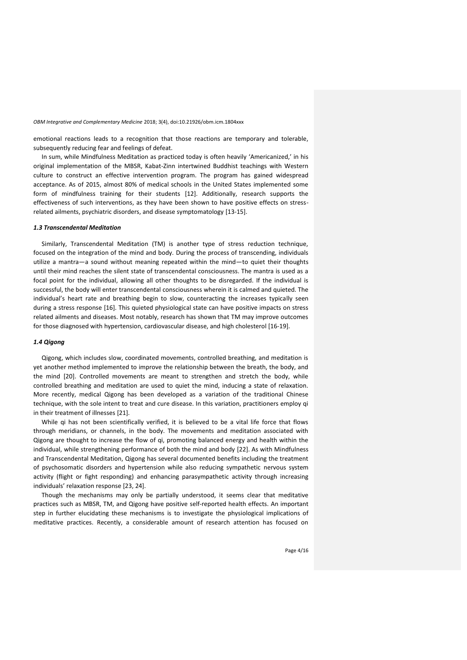emotional reactions leads to a recognition that those reactions are temporary and tolerable, subsequently reducing fear and feelings of defeat.

In sum, while Mindfulness Meditation as practiced today is often heavily 'Americanized,' in his original implementation of the MBSR, Kabat-Zinn intertwined Buddhist teachings with Western culture to construct an effective intervention program. The program has gained widespread acceptance. As of 2015, almost 80% of medical schools in the United States implemented some form of mindfulness training for their students [12]. Additionally, research supports the effectiveness of such interventions, as they have been shown to have positive effects on stress related ailments, psychiatric disorders, and disease symptomatology [13-15].

### *1.3 Transcendental Meditation*

Similarly, Transcendental Meditation (TM) is another type of stress reduction technique, focused on the integration of the mind and body*.* During the process of transcending, individuals utilize a mantra—a sound without meaning repeated within the mind—to quiet their thoughts until their mind reaches the silent state of transcendental consciousness. The mantra is used as a focal point for the individual, allowing all other thoughts to be disregarded. If the individual is successful, the body will enter transcendental consciousness wherein it is calmed and quieted. The individual's heart rate and breathing begin to slow, counteracting the increases typically seen during a stress response [16]. This quieted physiological state can have positive impacts on stress related ailments and diseases. Most notably, research has shown that TM may improve outcomes for those diagnosed with hypertension, cardiovascular disease, and high cholesterol [16-19].

# *1.4 Qigong*

Qigong, which includes slow, coordinated movements, controlled breathing, and meditation is yet another method implemented to improve the relationship between the breath, the body, and the mind [20]. Controlled movements are meant to strengthen and stretch the body, while controlled breathing and meditation are used to quiet the mind, inducing a state of relaxation. More recently, medical Qigong has been developed as a variation of the traditional Chinese technique, with the sole intent to treat and cure disease. In this variation, practitioners employ qi in their treatment of illnesses [21].

While qi has not been scientifically verified, it is believed to be a vital life force that flows through meridians, or channels, in the body. The movements and meditation associated with Qigong are thought to increase the flow of qi, promoting balanced energy and health within the individual, while strengthening performance of both the mind and body [22]. As with Mindfulness and Transcendental Meditation, Qigong has several documented benefits including the treatment of psychosomatic disorders and hypertension while also reducing sympathetic nervous system activity (flight or fight responding) and enhancing parasympathetic activity through increasing individuals' relaxation response [23, 24].

Though the mechanisms may only be partially understood, it seems clear that meditative practices such as MBSR, TM, and Qigong have positive self-reported health effects. An important step in further elucidating these mechanisms is to investigate the physiological implications of meditative practices. Recently, a considerable amount of research attention has focused on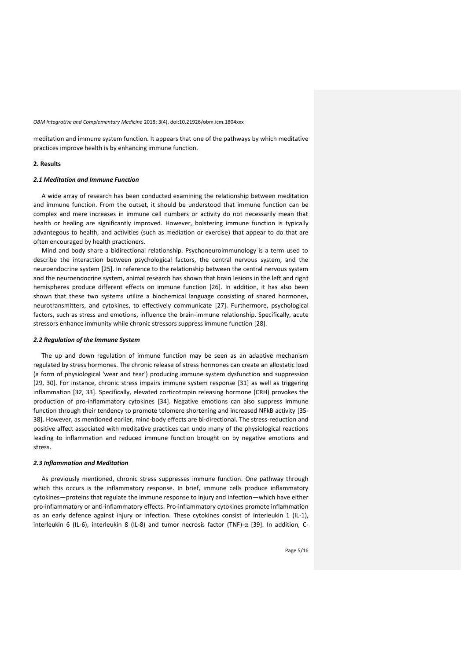meditation and immune system function. It appears that one of the pathways by which meditative practices improve health is by enhancing immune function.

#### **2. Results**

# *2.1 Meditation and Immune Function*

A wide array of research has been conducted examining the relationship between meditation and immune function. From the outset, it should be understood that immune function can be complex and mere increases in immune cell numbers or activity do not necessarily mean that health or healing are significantly improved. However, bolstering immune function is typically advantegous to health, and activities (such as mediation or exercise) that appear to do that are often encouraged by health practioners.

Mind and body share a bidirectional relationship. Psychoneuroimmunology is a term used to describe the interaction between psychological factors, the central nervous system, and the neuroendocrine system [25]. In reference to the relationship between the central nervous system and the neuroendocrine system, animal research has shown that brain lesions in the left and right hemispheres produce different effects on immune function [26]. In addition, it has also been shown that these two systems utilize a biochemical language consisting of shared hormones, neurotransmitters, and cytokines, to effectively communicate [27]. Furthermore, psychological factors, such as stress and emotions, influence the brain-immune relationship. Specifically, acute stressors enhance immunity while chronic stressors suppress immune function [28].

### *2.2 Regulation of the Immune System*

The up and down regulation of immune function may be seen as an adaptive mechanism regulated by stress hormones. The chronic release of stress hormones can create an allostatic load (a form of physiological 'wear and tear') producing immune system dysfunction and suppression [29, 30]. For instance, chronic stress impairs immune system response [31] as well as triggering inflammation [32, 33]. Specifically, elevated corticotropin releasing hormone (CRH) provokes the production of pro-inflammatory cytokines [34]. Negative emotions can also suppress immune function through their tendency to promote telomere shortening and increased NFkB activity [35- 38]. However, as mentioned earlier, mind-body effects are bi-directional. The stress-reduction and positive affect associated with meditative practices can undo many of the physiological reactions leading to inflammation and reduced immune function brought on by negative emotions and stress.

#### *2.3 Inflammation and Meditation*

As previously mentioned, chronic stress suppresses immune function. One pathway through which this occurs is the inflammatory response. In brief, immune cells produce inflammatory cytokines—proteins that regulate the immune response to injury and infection—which have either pro-inflammatory or anti-inflammatory effects. Pro-inflammatory cytokines promote inflammation as an early defence against injury or infection. These cytokines consist of interleukin 1 (IL-1), interleukin 6 (IL-6), interleukin 8 (IL-8) and tumor necrosis factor (TNF)-α [39]. In addition, C-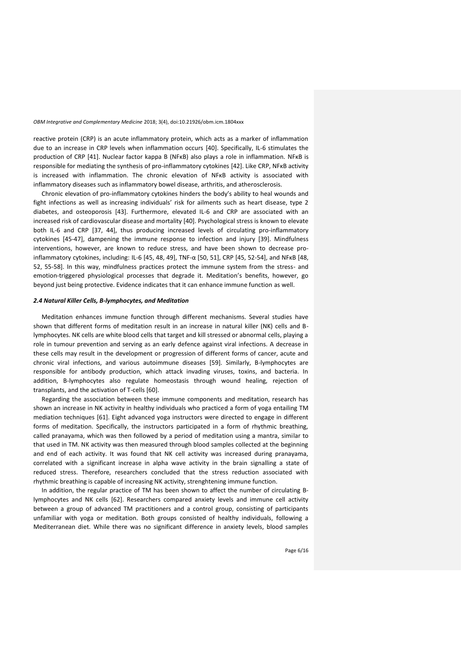reactive protein (CRP) is an acute inflammatory protein, which acts as a marker of inflammation due to an increase in CRP levels when inflammation occurs [40]. Specifically, IL-6 stimulates the production of CRP [41]. Nuclear factor kappa B (NFκB) also plays a role in inflammation. NFκB is responsible for mediating the synthesis of pro-inflammatory cytokines [42]. Like CRP, NFκB activity is increased with inflammation. The chronic elevation of NFκB activity is associated with inflammatory diseases such as inflammatory bowel disease, arthritis, and atherosclerosis.

Chronic elevation of pro-inflammatory cytokines hinders the body's ability to heal wounds and fight infections as well as increasing individuals' risk for ailments such as heart disease, type 2 diabetes, and osteoporosis [43]. Furthermore, elevated IL-6 and CRP are associated with an increased risk of cardiovascular disease and mortality [40]. Psychological stress is known to elevate both IL-6 and CRP [37, 44], thus producing increased levels of circulating pro-inflammatory cytokines [45-47], dampening the immune response to infection and injury [39]. Mindfulness interventions, however, are known to reduce stress, and have been shown to decrease proinflammatory cytokines, including: IL-6 [45, 48, 49], TNF-α [50, 51], CRP [45, 52-54], and NFκB [48, 52, 55-58]. In this way, mindfulness practices protect the immune system from the stress- and emotion-triggered physiological processes that degrade it. Meditation's benefits, however, go beyond just being protective. Evidence indicates that it can enhance immune function as well.

# *2.4 Natural Killer Cells, B-lymphocytes, and Meditation*

Meditation enhances immune function through different mechanisms. Several studies have shown that different forms of meditation result in an increase in natural killer (NK) cells and Blymphocytes. NK cells are white blood cells that target and kill stressed or abnormal cells, playing a role in tumour prevention and serving as an early defence against viral infections. A decrease in these cells may result in the development or progression of different forms of cancer, acute and chronic viral infections, and various autoimmune diseases [59]. Similarly, B-lymphocytes are responsible for antibody production, which attack invading viruses, toxins, and bacteria. In addition, B-lymphocytes also regulate homeostasis through wound healing, rejection of transplants, and the activation of T-cells [60].

Regarding the association between these immune components and meditation, research has shown an increase in NK activity in healthy individuals who practiced a form of yoga entailing TM mediation techniques [61]. Eight advanced yoga instructors were directed to engage in different forms of meditation. Specifically, the instructors participated in a form of rhythmic breathing, called pranayama, which was then followed by a period of meditation using a mantra, similar to that used in TM. NK activity was then measured through blood samples collected at the beginning and end of each activity. It was found that NK cell activity was increased during pranayama, correlated with a significant increase in alpha wave activity in the brain signalling a state of reduced stress. Therefore, researchers concluded that the stress reduction associated with rhythmic breathing is capable of increasing NK activity, strenghtening immune function.

In addition, the regular practice of TM has been shown to affect the number of circulating Blymphocytes and NK cells [62]. Researchers compared anxiety levels and immune cell activity between a group of advanced TM practitioners and a control group, consisting of participants unfamiliar with yoga or meditation. Both groups consisted of healthy individuals, following a Mediterranean diet. While there was no significant difference in anxiety levels, blood samples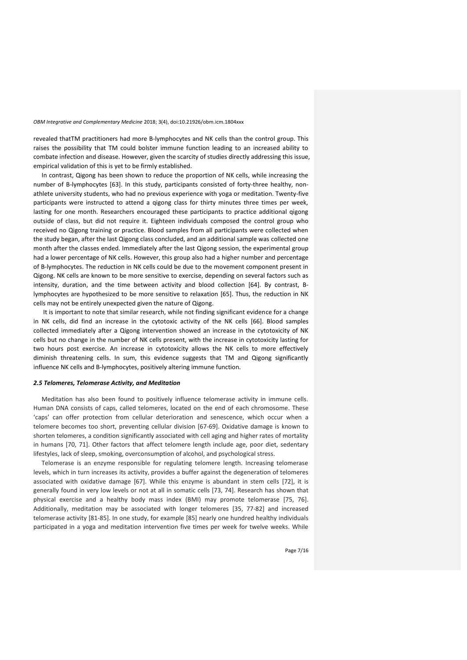revealed thatTM practitioners had more B-lymphocytes and NK cells than the control group. This raises the possibility that TM could bolster immune function leading to an increased ability to combate infection and disease. However, given the scarcity of studies directly addressing this issue, empirical validation of this is yet to be firmly established.

In contrast, Qigong has been shown to reduce the proportion of NK cells, while increasing the number of B-lymphocytes [63]. In this study, participants consisted of forty-three healthy, non athlete university students, who had no previous experience with yoga or meditation. Twenty-five participants were instructed to attend a qigong class for thirty minutes three times per week, lasting for one month. Researchers encouraged these participants to practice additional qigong outside of class, but did not require it. Eighteen individuals composed the control group who received no Qigong training or practice. Blood samples from all participants were collected when the study began, after the last Qigong class concluded, and an additional sample was collected one month after the classes ended. Immediately after the last Qigong session, the experimental group had a lower percentage of NK cells. However, this group also had a higher number and percentage of B-lymphocytes. The reduction in NK cells could be due to the movement component present in Qigong. NK cells are known to be more sensitive to exercise, depending on several factors such as intensity, duration, and the time between activity and blood collection [64]. By contrast, Blymphocytes are hypothesized to be more sensitive to relaxation [65]. Thus, the reduction in NK cells may not be entirely unexpected given the nature of Qigong.

It is important to note that similar research, while not finding significant evidence for a change in NK cells, did find an increase in the cytotoxic activity of the NK cells [66]. Blood samples collected immediately after a Qigong intervention showed an increase in the cytotoxicity of NK cells but no change in the number of NK cells present, with the increase in cytotoxicity lasting for two hours post exercise. An increase in cytotoxicity allows the NK cells to more effectively diminish threatening cells. In sum, this evidence suggests that TM and Qigong significantly influence NK cells and B-lymphocytes, positively altering immune function.

# *2.5 Telomeres, Telomerase Activity, and Meditation*

Meditation has also been found to positively influence telomerase activity in immune cells. Human DNA consists of caps, called telomeres, located on the end of each chromosome. These 'caps' can offer protection from cellular deterioration and senescence, which occur when a telomere becomes too short, preventing cellular division [67-69]. Oxidative damage is known to shorten telomeres, a condition significantly associated with cell aging and higher rates of mortality in humans [70, 71]. Other factors that affect telomere length include age, poor diet, sedentary lifestyles, lack of sleep, smoking, overconsumption of alcohol, and psychological stress.

Telomerase is an enzyme responsible for regulating telomere length. Increasing telomerase levels, which in turn increases its activity, provides a buffer against the degeneration of telomeres associated with oxidative damage [67]. While this enzyme is abundant in stem cells [72], it is generally found in very low levels or not at all in somatic cells [73, 74]. Research has shown that physical exercise and a healthy body mass index (BMI) may promote telomerase [75, 76]. Additionally, meditation may be associated with longer telomeres [35, 77-82] and increased telomerase activity [81-85]. In one study, for example [85] nearly one hundred healthy individuals participated in a yoga and meditation intervention five times per week for twelve weeks. While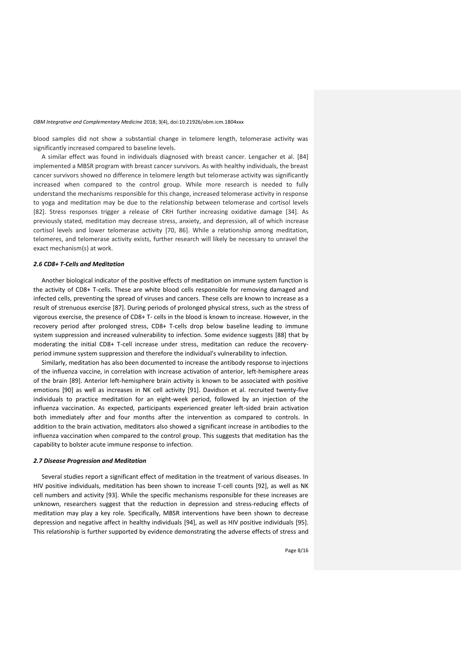blood samples did not show a substantial change in telomere length, telomerase activity was significantly increased compared to baseline levels.

A similar effect was found in individuals diagnosed with breast cancer. Lengacher et al. [84] implemented a MBSR program with breast cancer survivors. As with healthy individuals, the breast cancer survivors showed no difference in telomere length but telomerase activity was significantly increased when compared to the control group. While more research is needed to fully understand the mechanisms responsible for this change, increased telomerase activity in response to yoga and meditation may be due to the relationship between telomerase and cortisol levels [82]. Stress responses trigger a release of CRH further increasing oxidative damage [34]. As previously stated, meditation may decrease stress, anxiety, and depression, all of which increase cortisol levels and lower telomerase activity [70, 86]. While a relationship among meditation, telomeres, and telomerase activity exists, further research will likely be necessary to unravel the exact mechanism(s) at work.

# *2.6 CD8+ T-Cells and Meditation*

Another biological indicator of the positive effects of meditation on immune system function is the activity of CD8+ T-cells. These are white blood cells responsible for removing damaged and infected cells, preventing the spread of viruses and cancers. These cells are known to increase as a result of strenuous exercise [87]. During periods of prolonged physical stress, such as the stress of vigorous exercise, the presence of CD8+ T- cells in the blood is known to increase. However, in the recovery period after prolonged stress, CD8+ T-cells drop below baseline leading to immune system suppression and increased vulnerability to infection. Some evidence suggests [88] that by moderating the initial CD8+ T-cell increase under stress, meditation can reduce the recovery period immune system suppression and therefore the individual's vulnerability to infection.

Similarly, meditation has also been documented to increase the antibody response to injections of the influenza vaccine, in correlation with increase activation of anterior, left-hemisphere areas of the brain [89]. Anterior left-hemisphere brain activity is known to be associated with positive emotions [90] as well as increases in NK cell activity [91]. Davidson et al. recruited twenty-five individuals to practice meditation for an eight-week period, followed by an injection of the influenza vaccination. As expected, participants experienced greater left-sided brain activation both immediately after and four months after the intervention as compared to controls. In addition to the brain activation, meditators also showed a significant increase in antibodies to the influenza vaccination when compared to the control group. This suggests that meditation has the capability to bolster acute immune response to infection.

# *2.7 Disease Progression and Meditation*

Several studies report a significant effect of meditation in the treatment of various diseases. In HIV positive individuals, meditation has been shown to increase T-cell counts [92], as well as NK cell numbers and activity [93]. While the specific mechanisms responsible for these increases are unknown, researchers suggest that the reduction in depression and stress-reducing effects of meditation may play a key role. Specifically, MBSR interventions have been shown to decrease depression and negative affect in healthy individuals [94], as well as HIV positive individuals [95]. This relationship is further supported by evidence demonstrating the adverse effects of stress and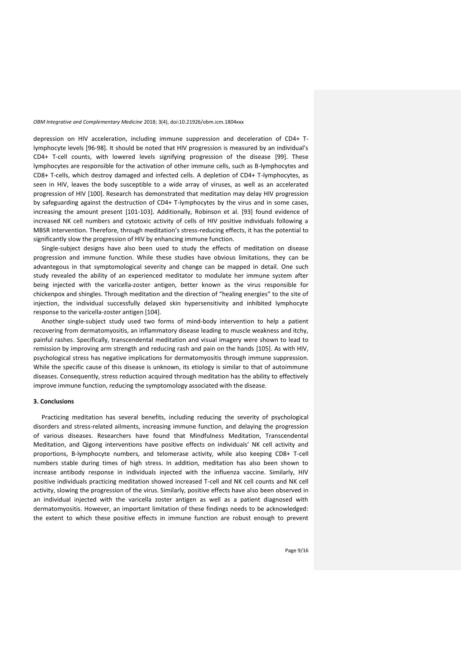depression on HIV acceleration, including immune suppression and deceleration of CD4+ Tlymphocyte levels [96-98]. It should be noted that HIV progression is measured by an individual's CD4+ T-cell counts, with lowered levels signifying progression of the disease [99]. These lymphocytes are responsible for the activation of other immune cells, such as B-lymphocytes and CD8+ T-cells, which destroy damaged and infected cells. A depletion of CD4+ T-lymphocytes, as seen in HIV, leaves the body susceptible to a wide array of viruses, as well as an accelerated progression of HIV [100]. Research has demonstrated that meditation may delay HIV progression by safeguarding against the destruction of CD4+ T-lymphocytes by the virus and in some cases, increasing the amount present [101-103]. Additionally, Robinson et al. [93] found evidence of increased NK cell numbers and cytotoxic activity of cells of HIV positive individuals following a MBSR intervention. Therefore, through meditation's stress-reducing effects, it has the potential to significantly slow the progression of HIV by enhancing immune function.

Single-subject designs have also been used to study the effects of meditation on disease progression and immune function. While these studies have obvious limitations, they can be advantegous in that symptomological severity and change can be mapped in detail. One such study revealed the ability of an experienced meditator to modulate her immune system after being injected with the varicella-zoster antigen, better known as the virus responsible for chickenpox and shingles. Through meditation and the direction of "healing energies" to the site of injection, the individual successfully delayed skin hypersensitivity and inhibited lymphocyte response to the varicella-zoster antigen [104].

Another single-subject study used two forms of mind-body intervention to help a patient recovering from dermatomyositis, an inflammatory disease leading to muscle weakness and itchy, painful rashes. Specifically, transcendental meditation and visual imagery were shown to lead to remission by improving arm strength and reducing rash and pain on the hands [105]. As with HIV, psychological stress has negative implications for dermatomyositis through immune suppression. While the specific cause of this disease is unknown, its etiology is similar to that of autoimmune diseases. Consequently, stress reduction acquired through meditation has the ability to effectively improve immune function, reducing the symptomology associated with the disease.

# **3. Conclusions**

Practicing meditation has several benefits, including reducing the severity of psychological disorders and stress-related ailments, increasing immune function, and delaying the progression of various diseases. Researchers have found that Mindfulness Meditation, Transcendental Meditation, and Qigong interventions have positive effects on individuals' NK cell activity and proportions, B-lymphocyte numbers, and telomerase activity, while also keeping CD8+ T-cell numbers stable during times of high stress. In addition, meditation has also been shown to increase antibody response in individuals injected with the influenza vaccine. Similarly, HIV positive individuals practicing meditation showed increased T-cell and NK cell counts and NK cell activity, slowing the progression of the virus. Similarly, positive effects have also been observed in an individual injected with the varicella zoster antigen as well as a patient diagnosed with dermatomyositis. However, an important limitation of these findings needs to be acknowledged: the extent to which these positive effects in immune function are robust enough to prevent

Page 9/16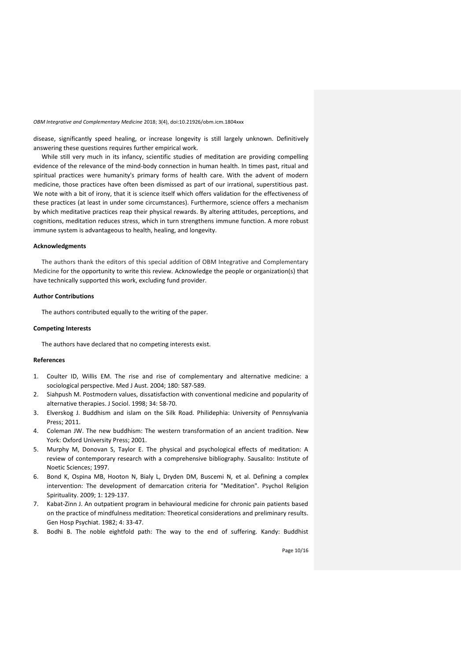disease, significantly speed healing, or increase longevity is still largely unknown. Definitively answering these questions requires further empirical work.

While still very much in its infancy, scientific studies of meditation are providing compelling evidence of the relevance of the mind-body connection in human health. In times past, ritual and spiritual practices were humanity's primary forms of health care. With the advent of modern medicine, those practices have often been dismissed as part of our irrational, superstitious past. We note with a bit of irony, that it is science itself which offers validation for the effectiveness of these practices (at least in under some circumstances). Furthermore, science offers a mechanism by which meditative practices reap their physical rewards. By altering attitudes, perceptions, and cognitions, meditation reduces stress, which in turn strengthens immune function. A more robust immune system is advantageous to health, healing, and longevity.

# **Acknowledgments**

The authors thank the editors of this special addition of OBM Integrative and Complementary Medicine for the opportunity to write this review. Acknowledge the people or organization(s) that have technically supported this work, excluding fund provider.

# **Author Contributions**

The authors contributed equally to the writing of the paper.

### **Competing Interests**

The authors have declared that no competing interests exist.

# **References**

- 1. Coulter ID, Willis EM. The rise and rise of complementary and alternative medicine: a sociological perspective. Med J Aust. 2004; 180: 587-589.
- 2. Siahpush M. Postmodern values, dissatisfaction with conventional medicine and popularity of alternative therapies. J Sociol. 1998; 34: 58-70.
- 3. Elverskog J. Buddhism and islam on the Silk Road. Philidephia: University of Pennsylvania Press; 2011.
- 4. Coleman JW. The new buddhism: The western transformation of an ancient tradition. New York: Oxford University Press; 2001.
- 5. Murphy M, Donovan S, Taylor E. The physical and psychological effects of meditation: A review of contemporary research with a comprehensive bibliography. Sausalito: Institute of Noetic Sciences; 1997.
- 6. Bond K, Ospina MB, Hooton N, Bialy L, Dryden DM, Buscemi N, et al. Defining a complex intervention: The development of demarcation criteria for "Meditation". Psychol Religion Spirituality. 2009; 1: 129-137.
- 7. Kabat-Zinn J. An outpatient program in behavioural medicine for chronic pain patients based on the practice of mindfulness meditation: Theoretical considerations and preliminary results. Gen Hosp Psychiat. 1982; 4: 33-47.
- 8. Bodhi B. The noble eightfold path: The way to the end of suffering. Kandy: Buddhist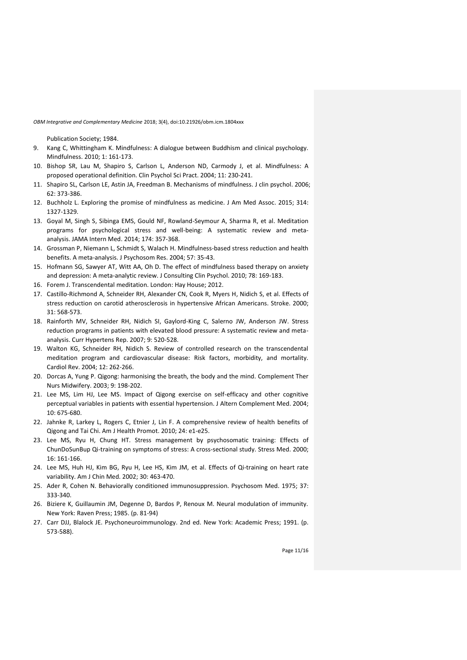Publication Society; 1984.

- 9. Kang C, Whittingham K. Mindfulness: A dialogue between Buddhism and clinical psychology. Mindfulness. 2010; 1: 161-173.
- 10. Bishop SR, Lau M, Shapiro S, Carlson L, Anderson ND, Carmody J, et al. Mindfulness: A proposed operational definition. Clin Psychol Sci Pract. 2004; 11: 230-241.
- 11. Shapiro SL, Carlson LE, Astin JA, Freedman B. Mechanisms of mindfulness. J clin psychol. 2006; 62: 373-386.
- 12. Buchholz L. Exploring the promise of mindfulness as medicine. J Am Med Assoc. 2015; 314: 1327-1329.
- 13. Goyal M, Singh S, Sibinga EMS, Gould NF, Rowland-Seymour A, Sharma R, et al. Meditation programs for psychological stress and well-being: A systematic review and meta analysis. JAMA Intern Med. 2014; 174: 357-368.
- 14. Grossman P, Niemann L, Schmidt S, Walach H. Mindfulness-based stress reduction and health benefits. A meta-analysis. J Psychosom Res. 2004; 57: 35-43.
- 15. Hofmann SG, Sawyer AT, Witt AA, Oh D. The effect of mindfulness based therapy on anxiety and depression: A meta-analytic review. J Consulting Clin Psychol. 2010; 78: 169-183.
- 16. Forem J. Transcendental meditation. London: Hay House; 2012.
- 17. Castillo-Richmond A, Schneider RH, Alexander CN, Cook R, Myers H, Nidich S, et al. Effects of stress reduction on carotid atherosclerosis in hypertensive African Americans. Stroke. 2000; 31: 568-573.
- 18. Rainforth MV, Schneider RH, Nidich SI, Gaylord-King C, Salerno JW, Anderson JW. Stress reduction programs in patients with elevated blood pressure: A systematic review and meta analysis. Curr Hypertens Rep. 2007; 9: 520-528.
- 19. Walton KG, Schneider RH, Nidich S. Review of controlled research on the transcendental meditation program and cardiovascular disease: Risk factors, morbidity, and mortality. Cardiol Rev. 2004; 12: 262-266.
- 20. Dorcas A, Yung P. Qigong: harmonising the breath, the body and the mind. Complement Ther Nurs Midwifery. 2003; 9: 198-202.
- 21. Lee MS, Lim HJ, Lee MS. Impact of Qigong exercise on self-efficacy and other cognitive perceptual variables in patients with essential hypertension. J Altern Complement Med. 2004; 10: 675-680.
- 22. Jahnke R, Larkey L, Rogers C, Etnier J, Lin F. A comprehensive review of health benefits of Qigong and Tai Chi. Am J Health Promot. 2010; 24: e1-e25.
- 23. Lee MS, Ryu H, Chung HT. Stress management by psychosomatic training: Effects of ChunDoSunBup Qi-training on symptoms of stress: A cross-sectional study. Stress Med. 2000; 16: 161-166.
- 24. Lee MS, Huh HJ, Kim BG, Ryu H, Lee HS, Kim JM, et al. Effects of Qi-training on heart rate variability. Am J Chin Med. 2002; 30: 463-470.
- 25. Ader R, Cohen N. Behaviorally conditioned immunosuppression. Psychosom Med. 1975; 37: 333-340.
- 26. Biziere K, Guillaumin JM, Degenne D, Bardos P, Renoux M. Neural modulation of immunity. New York: Raven Press; 1985. (p. 81-94)
- 27. Carr DJJ, Blalock JE. Psychoneuroimmunology. 2nd ed. New York: Academic Press; 1991. (p. 573-588).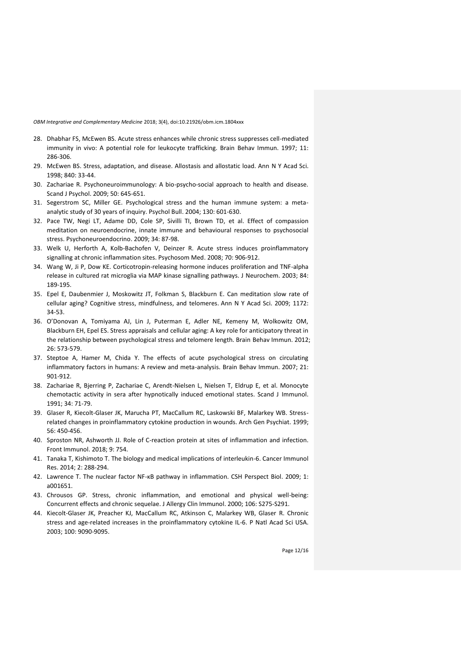- 28. Dhabhar FS, McEwen BS. Acute stress enhances while chronic stress suppresses cell-mediated immunity in vivo: A potential role for leukocyte trafficking. Brain Behav Immun. 1997; 11: 286-306.
- 29. McEwen BS. Stress, adaptation, and disease. Allostasis and allostatic load. Ann N Y Acad Sci. 1998; 840: 33-44.
- 30. Zachariae R. Psychoneuroimmunology: A bio-psycho-social approach to health and disease. Scand J Psychol. 2009; 50: 645-651.
- 31. Segerstrom SC, Miller GE. Psychological stress and the human immune system: a meta analytic study of 30 years of inquiry. Psychol Bull. 2004; 130: 601-630.
- 32. Pace TW, Negi LT, Adame DD, Cole SP, Sivilli TI, Brown TD, et al. Effect of compassion meditation on neuroendocrine, innate immune and behavioural responses to psychosocial stress. Psychoneuroendocrino. 2009; 34: 87-98.
- 33. Welk U, Herforth A, Kolb-Bachofen V, Deinzer R. Acute stress induces proinflammatory signalling at chronic inflammation sites. Psychosom Med. 2008; 70: 906-912.
- 34. Wang W, Ji P, Dow KE. Corticotropin-releasing hormone induces proliferation and TNF-alpha release in cultured rat microglia via MAP kinase signalling pathways. J Neurochem. 2003; 84: 189-195.
- 35. Epel E, Daubenmier J, Moskowitz JT, Folkman S, Blackburn E. Can meditation slow rate of cellular aging? Cognitive stress, mindfulness, and telomeres. Ann N Y Acad Sci. 2009; 1172: 34-53.
- 36. O'Donovan A, Tomiyama AJ, Lin J, Puterman E, Adler NE, Kemeny M, Wolkowitz OM, Blackburn EH, Epel ES. Stress appraisals and cellular aging: A key role for anticipatory threat in the relationship between psychological stress and telomere length. Brain Behav Immun. 2012; 26: 573-579.
- 37. Steptoe A, Hamer M, Chida Y. The effects of acute psychological stress on circulating inflammatory factors in humans: A review and meta-analysis. Brain Behav Immun. 2007; 21: 901-912.
- 38. Zachariae R, Bjerring P, Zachariae C, Arendt-Nielsen L, Nielsen T, Eldrup E, et al. Monocyte chemotactic activity in sera after hypnotically induced emotional states. Scand J Immunol. 1991; 34: 71-79.
- 39. Glaser R, Kiecolt-Glaser JK, Marucha PT, MacCallum RC, Laskowski BF, Malarkey WB. Stress related changes in proinflammatory cytokine production in wounds. Arch Gen Psychiat. 1999; 56: 450-456.
- 40. Sproston NR, Ashworth JJ. Role of C-reaction protein at sites of inflammation and infection. Front Immunol. 2018; 9: 754.
- 41. Tanaka T, Kishimoto T. The biology and medical implications of interleukin-6. Cancer Immunol Res. 2014; 2: 288-294.
- 42. Lawrence T. The nuclear factor NF-κB pathway in inflammation. CSH Perspect Biol. 2009; 1: a001651.
- 43. Chrousos GP. Stress, chronic inflammation, and emotional and physical well-being: Concurrent effects and chronic sequelae. J Allergy Clin Immunol. 2000; 106: S275-S291.
- 44. Kiecolt-Glaser JK, Preacher KJ, MacCallum RC, Atkinson C, Malarkey WB, Glaser R. Chronic stress and age-related increases in the proinflammatory cytokine IL-6. P Natl Acad Sci USA. 2003; 100: 9090-9095.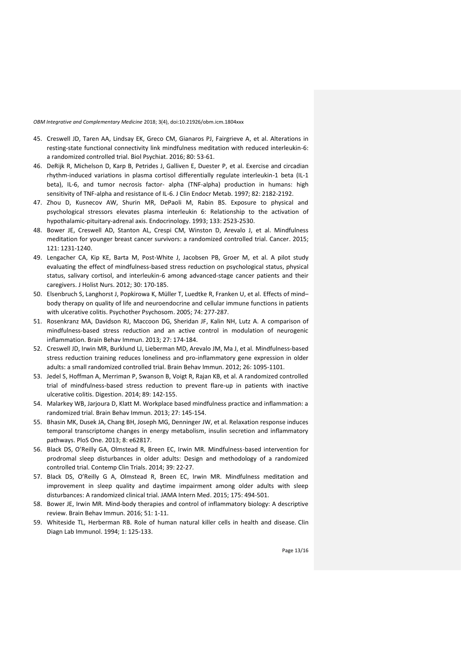- 45. Creswell JD, Taren AA, Lindsay EK, Greco CM, Gianaros PJ, Fairgrieve A, et al. Alterations in resting-state functional connectivity link mindfulness meditation with reduced interleukin-6: a randomized controlled trial. Biol Psychiat. 2016; 80: 53-61.
- 46. DeRijk R, Michelson D, Karp B, Petrides J, Galliven E, Duester P, et al. Exercise and circadian rhythm-induced variations in plasma cortisol differentially regulate interleukin-1 beta (IL-1 beta), IL-6, and tumor necrosis factor- alpha (TNF-alpha) production in humans: high sensitivity of TNF-alpha and resistance of IL-6. J Clin Endocr Metab. 1997; 82: 2182-2192.
- 47. Zhou D, Kusnecov AW, Shurin MR, DePaoli M, Rabin BS. Exposure to physical and psychological stressors elevates plasma interleukin 6: Relationship to the activation of hypothalamic-pituitary-adrenal axis. Endocrinology. 1993; 133: 2523-2530.
- 48. Bower JE, Creswell AD, Stanton AL, Crespi CM, Winston D, Arevalo J, et al. Mindfulness meditation for younger breast cancer survivors: a randomized controlled trial. Cancer. 2015; 121: 1231-1240.
- 49. Lengacher CA, Kip KE, Barta M, Post-White J, Jacobsen PB, Groer M, et al. A pilot study evaluating the effect of mindfulness-based stress reduction on psychological status, physical status, salivary cortisol, and interleukin-6 among advanced-stage cancer patients and their caregivers. J Holist Nurs. 2012; 30: 170-185.
- 50. Elsenbruch S, Langhorst J, Popkirowa K, Müller T, Luedtke R, Franken U, et al. Effects of mind– body therapy on quality of life and neuroendocrine and cellular immune functions in patients with ulcerative colitis. Psychother Psychosom. 2005; 74: 277-287.
- 51. Rosenkranz MA, Davidson RJ, Maccoon DG, Sheridan JF, Kalin NH, Lutz A. A comparison of mindfulness-based stress reduction and an active control in modulation of neurogenic inflammation. Brain Behav Immun. 2013; 27: 174-184.
- 52. Creswell JD, Irwin MR, Burklund LJ, Lieberman MD, Arevalo JM, Ma J, et al. Mindfulness-based stress reduction training reduces loneliness and pro-inflammatory gene expression in older adults: a small randomized controlled trial. Brain Behav Immun. 2012; 26: 1095-1101.
- 53. Jedel S, Hoffman A, Merriman P, Swanson B, Voigt R, Rajan KB, et al. A randomized controlled trial of mindfulness-based stress reduction to prevent flare-up in patients with inactive ulcerative colitis. Digestion. 2014; 89: 142-155.
- 54. Malarkey WB, Jarjoura D, Klatt M. Workplace based mindfulness practice and inflammation: a randomized trial. Brain Behav Immun. 2013; 27: 145-154.
- 55. Bhasin MK, Dusek JA, Chang BH, Joseph MG, Denninger JW, et al. Relaxation response induces temporal transcriptome changes in energy metabolism, insulin secretion and inflammatory pathways. PloS One. 2013; 8: e62817.
- 56. Black DS, O'Reilly GA, Olmstead R, Breen EC, Irwin MR. Mindfulness-based intervention for prodromal sleep disturbances in older adults: Design and methodology of a randomized controlled trial. Contemp Clin Trials. 2014; 39: 22-27.
- 57. Black DS, O'Reilly G A, Olmstead R, Breen EC, Irwin MR. Mindfulness meditation and improvement in sleep quality and daytime impairment among older adults with sleep disturbances: A randomized clinical trial. JAMA Intern Med. 2015; 175: 494-501.
- 58. Bower JE, Irwin MR. Mind-body therapies and control of inflammatory biology: A descriptive review. Brain Behav Immun. 2016; 51: 1-11.
- 59. Whiteside TL, Herberman RB. Role of human natural killer cells in health and disease. Clin Diagn Lab Immunol. 1994; 1: 125-133.

Page 13/16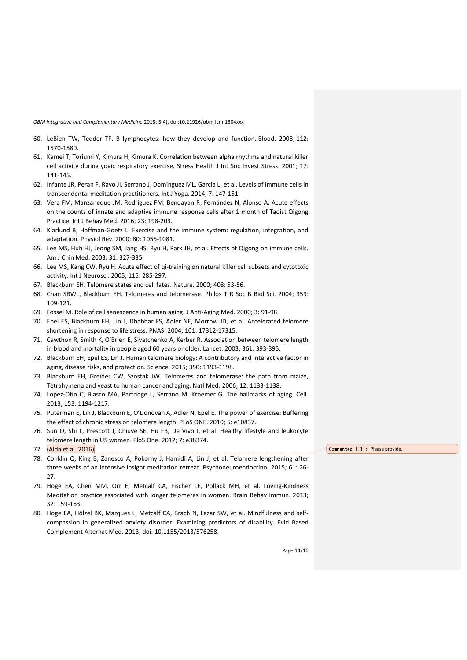- 60. LeBien TW, Tedder TF. B lymphocytes: how they develop and function. Blood. 2008; 112: 1570-1580.
- 61. Kamei T, Toriumi Y, Kimura H, Kimura K. Correlation between alpha rhythms and natural killer cell activity during yogic respiratory exercise. Stress Health J Int Soc Invest Stress. 2001; 17: 141-145.
- 62. Infante JR, Peran F, Rayo JI, Serrano J, Dominguez ML, Garcia L, et al. Levels of immune cells in transcendental meditation practitioners. Int J Yoga. 2014; 7: 147-151.
- 63. Vera FM, Manzaneque JM, Rodríguez FM, Bendayan R, Fernández N, Alonso A. Acute effects on the counts of innate and adaptive immune response cells after 1 month of Taoist Qigong Practice. Int J Behav Med. 2016; 23: 198-203.
- 64. Klarlund B, Hoffman-Goetz L. Exercise and the immune system: regulation, integration, and adaptation. Physiol Rev. 2000; 80: 1055-1081.
- 65. Lee MS, Huh HJ, Jeong SM, Jang HS, Ryu H, Park JH, et al. Effects of Qigong on immune cells. Am J Chin Med. 2003; 31: 327-335.
- 66. Lee MS, Kang CW, Ryu H. Acute effect of qi-training on natural killer cell subsets and cytotoxic activity. Int J Neurosci. 2005; 115: 285-297.
- 67. Blackburn EH. Telomere states and cell fates. Nature. 2000; 408: 53-56.
- 68. Chan SRWL, Blackburn EH. Telomeres and telomerase. Philos T R Soc B Biol Sci. 2004; 359: 109-121.
- 69. Fossel M. Role of cell senescence in human aging. J Anti-Aging Med. 2000; 3: 91-98.
- 70. Epel ES, Blackburn EH, Lin J, Dhabhar FS, Adler NE, Morrow JD, et al. Accelerated telomere shortening in response to life stress. PNAS. 2004; 101: 17312-17315.
- 71. Cawthon R, Smith K, O'Brien E, Sivatchenko A, Kerber R. Association between telomere length in blood and mortality in people aged 60 years or older. Lancet. 2003; 361: 393-395.
- 72. Blackburn EH, Epel ES, Lin J. Human telomere biology: A contributory and interactive factor in aging, disease risks, and protection. Science. 2015; 350: 1193-1198.
- 73. Blackburn EH, Greider CW, Szostak JW. Telomeres and telomerase: the path from maize, Tetrahymena and yeast to human cancer and aging. Natl Med. 2006; 12: 1133-1138.
- 74. Lopez-Otin C, Blasco MA, Partridge L, Serrano M, Kroemer G. The hallmarks of aging. Cell. 2013; 153: 1194-1217.
- 75. Puterman E, Lin J, Blackburn E, O'Donovan A, Adler N, Epel E. The power of exercise: Buffering the effect of chronic stress on telomere length. PLoS ONE. 2010; 5: e10837.
- 76. Sun Q, Shi L, Prescott J, Chiuve SE, Hu FB, De Vivo I, et al. Healthy lifestyle and leukocyte telomere length in US women. PloS One. 2012; 7: e38374.
- 77. (Alda et al. 2016)
- 78. Conklin Q, King B, Zanesco A, Pokorny J, Hamidi A, Lin J, et al. Telomere lengthening after three weeks of an intensive insight meditation retreat. Psychoneuroendocrino. 2015; 61: 26- 27.
- 79. Hoge EA, Chen MM, Orr E, Metcalf CA, Fischer LE, Pollack MH, et al. Loving-Kindness Meditation practice associated with longer telomeres in women. Brain Behav Immun. 2013; 32: 159-163.
- 80. Hoge EA, Hölzel BK, Marques L, Metcalf CA, Brach N, Lazar SW, et al. Mindfulness and self compassion in generalized anxiety disorder: Examining predictors of disability. Evid Based Complement Alternat Med. 2013; doi: 10.1155/2013/576258.

**Commented [l1]:** Please provide.

Page 14/16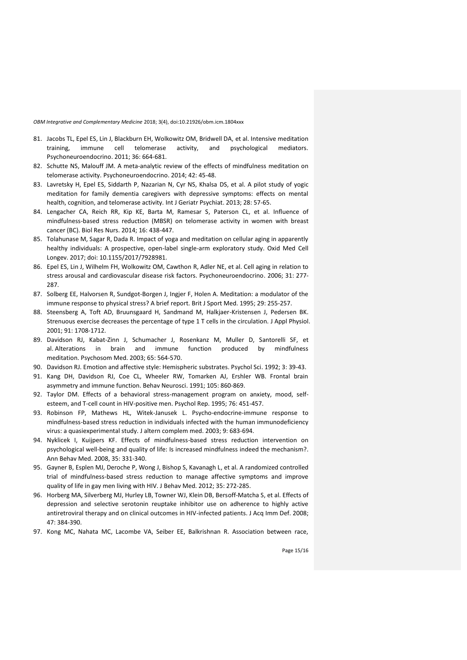- 81. Jacobs TL, Epel ES, Lin J, Blackburn EH, Wolkowitz OM, Bridwell DA, et al. Intensive meditation training, immune cell telomerase activity, and psychological mediators. Psychoneuroendocrino. 2011; 36: 664-681.
- 82. Schutte NS, Malouff JM. A meta-analytic review of the effects of mindfulness meditation on telomerase activity. Psychoneuroendocrino. 2014; 42: 45-48.
- 83. Lavretsky H, Epel ES, Siddarth P, Nazarian N, Cyr NS, Khalsa DS, et al. A pilot study of yogic meditation for family dementia caregivers with depressive symptoms: effects on mental health, cognition, and telomerase activity. Int J Geriatr Psychiat. 2013; 28: 57-65.
- 84. Lengacher CA, Reich RR, Kip KE, Barta M, Ramesar S, Paterson CL, et al. Influence of mindfulness-based stress reduction (MBSR) on telomerase activity in women with breast cancer (BC). Biol Res Nurs. 2014; 16: 438-447.
- 85. Tolahunase M, Sagar R, Dada R. Impact of yoga and meditation on cellular aging in apparently healthy individuals: A prospective, open-label single-arm exploratory study. Oxid Med Cell Longev. 2017; doi: 10.1155/2017/7928981.
- 86. Epel ES, Lin J, Wilhelm FH, Wolkowitz OM, Cawthon R, Adler NE, et al. Cell aging in relation to stress arousal and cardiovascular disease risk factors. Psychoneuroendocrino. 2006; 31: 277- 287.
- 87. Solberg EE, Halvorsen R, Sundgot-Borgen J, Ingjer F, Holen A. Meditation: a modulator of the immune response to physical stress? A brief report. Brit J Sport Med. 1995; 29: 255-257.
- 88. Steensberg A, Toft AD, Bruunsgaard H, Sandmand M, Halkjaer-Kristensen J, Pedersen BK. Strenuous exercise decreases the percentage of type 1 T cells in the circulation. J Appl Physiol. 2001; 91: 1708-1712.
- 89. Davidson RJ, Kabat-Zinn J, Schumacher J, Rosenkanz M, Muller D, Santorelli SF, et al. Alterations in brain and immune function produced by mindfulness meditation. Psychosom Med. 2003; 65: 564-570.
- 90. Davidson RJ. Emotion and affective style: Hemispheric substrates. Psychol Sci. 1992; 3: 39-43.
- 91. Kang DH, Davidson RJ, Coe CL, Wheeler RW, Tomarken AJ, Ershler WB. Frontal brain asymmetry and immune function. Behav Neurosci. 1991; 105: 860-869.
- 92. Taylor DM. Effects of a behavioral stress-management program on anxiety, mood, self esteem, and T-cell count in HIV-positive men. Psychol Rep. 1995; 76: 451-457.
- 93. Robinson FP, Mathews HL, Witek-Janusek L. Psycho-endocrine-immune response to mindfulness-based stress reduction in individuals infected with the human immunodeficiency virus: a quasiexperimental study. J altern complem med. 2003; 9: 683-694.
- 94. Nyklicek I, Kuijpers KF. Effects of mindfulness-based stress reduction intervention on psychological well-being and quality of life: Is increased mindfulness indeed the mechanism?. Ann Behav Med. 2008, 35: 331-340.
- 95. Gayner B, Esplen MJ, Deroche P, Wong J, Bishop S, Kavanagh L, et al. A randomized controlled trial of mindfulness-based stress reduction to manage affective symptoms and improve quality of life in gay men living with HIV. J Behav Med. 2012; 35: 272-285.
- 96. Horberg MA, Silverberg MJ, Hurley LB, Towner WJ, Klein DB, Bersoff-Matcha S, et al. Effects of depression and selective serotonin reuptake inhibitor use on adherence to highly active antiretroviral therapy and on clinical outcomes in HIV-infected patients. J Acq Imm Def. 2008; 47: 384-390.
- 97. Kong MC, Nahata MC, Lacombe VA, Seiber EE, Balkrishnan R. Association between race,